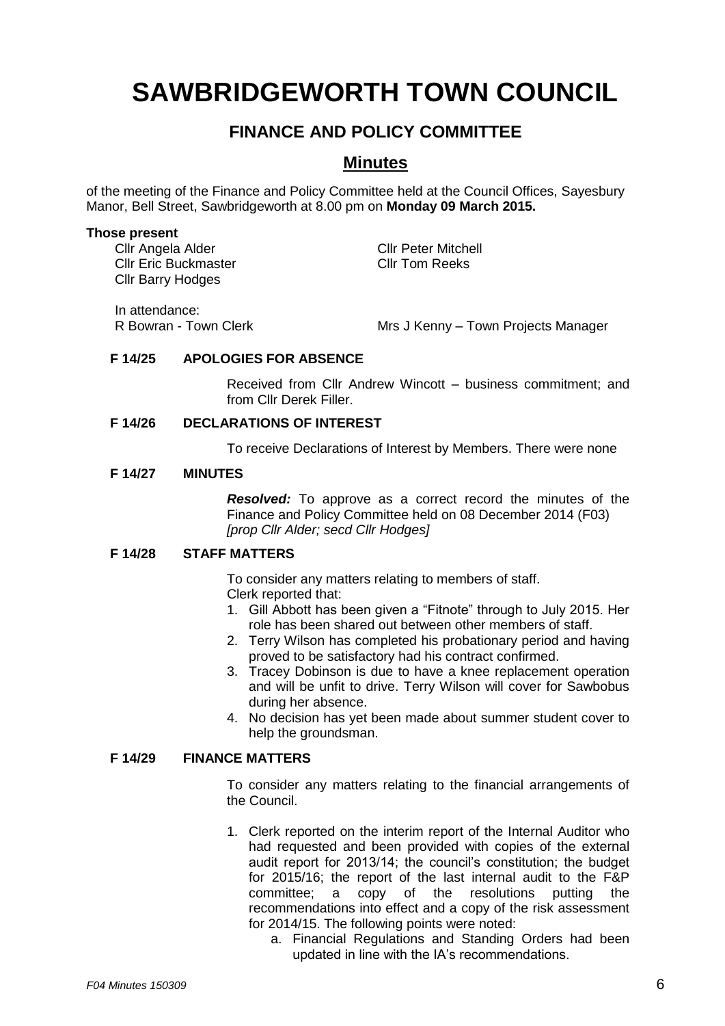# **SAWBRIDGEWORTH TOWN COUNCIL**

# **FINANCE AND POLICY COMMITTEE**

# **Minutes**

of the meeting of the Finance and Policy Committee held at the Council Offices, Sayesbury Manor, Bell Street, Sawbridgeworth at 8.00 pm on **Monday 09 March 2015.**

#### **Those present**

Cllr Angela Alder Cllr Peter Mitchell Cllr Eric Buckmaster Cllr Tom Reeks Cllr Barry Hodges

In attendance:

R Bowran - Town Clerk Mrs J Kenny – Town Projects Manager

## **F 14/25 APOLOGIES FOR ABSENCE**

Received from Cllr Andrew Wincott – business commitment; and from Cllr Derek Filler.

### **F 14/26 DECLARATIONS OF INTEREST**

To receive Declarations of Interest by Members. There were none

#### **F 14/27 MINUTES**

*Resolved:* To approve as a correct record the minutes of the Finance and Policy Committee held on 08 December 2014 (F03) *[prop Cllr Alder; secd Cllr Hodges]*

## **F 14/28 STAFF MATTERS**

To consider any matters relating to members of staff. Clerk reported that:

- 1. Gill Abbott has been given a "Fitnote" through to July 2015. Her role has been shared out between other members of staff.
- 2. Terry Wilson has completed his probationary period and having proved to be satisfactory had his contract confirmed.
- 3. Tracey Dobinson is due to have a knee replacement operation and will be unfit to drive. Terry Wilson will cover for Sawbobus during her absence.
- 4. No decision has yet been made about summer student cover to help the groundsman.

## **F 14/29 FINANCE MATTERS**

To consider any matters relating to the financial arrangements of the Council.

- 1. Clerk reported on the interim report of the Internal Auditor who had requested and been provided with copies of the external audit report for 2013/14; the council's constitution; the budget for 2015/16; the report of the last internal audit to the F&P committee; a copy of the resolutions putting the recommendations into effect and a copy of the risk assessment for 2014/15. The following points were noted:
	- a. Financial Regulations and Standing Orders had been updated in line with the IA's recommendations.